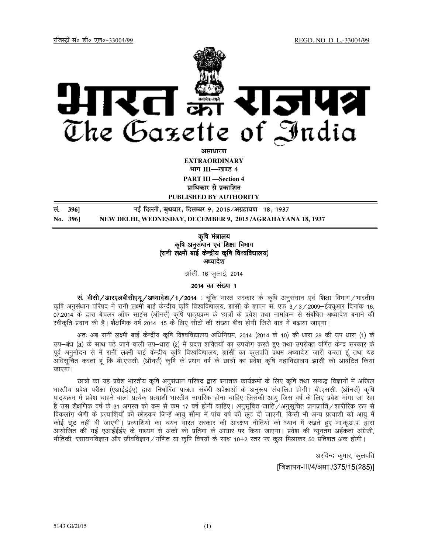

**असाधार**ण **EXTRAORDINARY Hkkx III—[k.M 4 PART III —Section 4**

**प्राधिकार से प्रकाशित** 

**PUBLISHED BY AUTHORITY**

**la- 396] ubZ fnYyh] cq/okj] fnlEcj 9] 2015@vxzgk;.k 18] 1937 No. 396] NEW DELHI, WEDNESDAY, DECEMBER 9, 2015 /AGRAHAYANA 18, 1937** Į

> कृषि मंत्रालय कृषि अनुसंधान एवं शिक्षा विभाग (रानी लक्ष्मी बाई केन्द्रीय कृषि विश्वविघालय) अध्यादेश

> > झांसी, 16 जूलाई, 2014

2014 का संख्या 1

 $\pi$ . वीसी/आरएलबीसीएय्/अध्यादेश/1/2014 : चूंकि भारत सरकार के कृषि अनुसंधान एवं शिक्षा विभाग/भारतीय कृषि अनुसंधान परिषद ने रानी लक्ष्मी बाई केन्द्रीय कृषि विश्वविद्यालय, झांसी के ज्ञापन सं. एफ 3/3/2009–ईक्युआर दिनांक 16. 07.2014 के द्वारा बेचलर ऑफ साइंस (ऑनर्स) कृषि पाठ्यक्रम के छात्रों के प्रवेश तथा नामांकन से संबंधित अध्यादेश बनाने की स्वीकृति प्रदान की है। शैक्षणिक वर्ष 2014—15 के लिए सीटों की संख्या बीस होगी जिसे बाद में बढाया जाएगा।

अतः अब रानी लक्ष्मी बाई केन्द्रीय कृषि विश्वविद्यालय अधिनियम, 2014 (2014 के 10) की धारा 28 की उप धारा (1) के उप–बंध (a) के साथ पढे जाने वाली उप–धारा (2) में प्रदत्त शक्तियों का उपयोग करते हुए तथा उपरोक्त वर्णित केन्द्र सरकार के पूर्व अनुमोदन से मैं रानी लक्ष्मी बाई केन्द्रीय कृषि विश्वविद्यालय, झांसी का कुलपति प्रथम अध्यादेश जारी करता हूं तथा यह अधिसूचित करता हूं कि बी.एससी. (ऑनर्स) कृषि के प्रथम वर्ष के छात्रों का प्रवेश कृषि महाविद्यालय झांसी को आबंटित किया जाएगा $\mu$ 

छात्रों का यह प्रवेश भारतीय कषि अनसंधान परिषद द्वारा स्नातक कार्यक्रमों के लिए कषि तथा सम्बद्ध विज्ञानों में अखिल भारतीय प्रवेश परीक्षा (एआईईईए) द्वारा निर्धारित पात्रता संबंधी अपेक्षाओं के अनुरूप संचालित होगी। बी.एससी. (ऑनर्स) कृषि पाठयक्रम में प्रवेश चाहने वाला प्रत्येक प्रत्याशी भारतीय नागरिक होना चाहिए जिसकी आयु जिस वर्ष के लिए प्रवेश मांगा जा रहा है उस शैक्षणिक वर्ष के 31 अगस्त को कम से कम 17 वर्ष होनी चाहिए। अनुसूचित जाति ⁄ अनुसूचित जनजाति ⁄ शारीरिक रूप से विकलांग श्रेणी के प्रत्याशियों को छोडकर जिन्हें आयु सीमा में पांच वर्ष की छूट दी जाएगी, किसी भी अन्य प्रत्याशी को आयु में कोई छूट नहीं दी जाएगी। प्रत्याशियों का चयन भारत सरकार की आरक्षण नीतियों को ध्यान में रखते हुए भा.कृ.अ.प. द्वारा आयोजित की गई एआईईईए के माध्यम से अंकों की प्रतिभा के आधार पर किया जाएगा। प्रवेश की न्यूनतम अईकता अंग्रेजी, भौतिकी, रसायनविज्ञान और जीवविज्ञान ⁄ गणित या कृषि विषयों के साथ 10+2 स्तर पर कुल मिलाकर 50 प्रतिशत अंक होगी।

> अरविन्द कुमार, कुलपति Iविज्ञापन-III/4/असा./375/15(285)I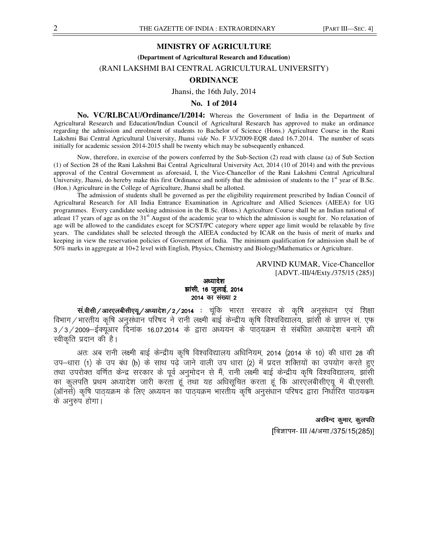### **MINISTRY OF AGRICULTURE**

**(Department of Agricultural Research and Education)** 

# (RANI LAKSHMI BAI CENTRAL AGRICULTURAL UNIVERSITY)

### **ORDINANCE**

Jhansi, the 16th July, 2014

### **No. 1 of 2014**

**No. VC/RLBCAU/Ordinance/1/2014:** Whereas the Government of India in the Department of Agricultural Research and Education/Indian Council of Agricultural Research has approved to make an ordinance regarding the admission and enrolment of students to Bachelor of Science (Hons.) Agriculture Course in the Rani Lakshmi Bai Central Agricultural University, Jhansi *vide* No. F 3/3/2009-EQR dated 16.7.2014. The number of seats initially for academic session 2014-2015 shall be twenty which may be subsequently enhanced.

 Now, therefore, in exercise of the powers conferred by the Sub-Section (2) read with clause (a) of Sub Section (1) of Section 28 of the Rani Lakshmi Bai Central Agricultural University Act, 2014 (10 of 2014) and with the previous approval of the Central Government as aforesaid, I, the Vice-Chancellor of the Rani Lakshmi Central Agricultural University, Jhansi, do hereby make this first Ordinance and notify that the admission of students to the  $1<sup>st</sup>$  year of B.Sc. (Hon.) Agriculture in the College of Agriculture, Jhansi shall be allotted.

 The admission of students shall be governed as per the eligibility requirement prescribed by Indian Council of Agricultural Research for All India Entrance Examination in Agriculture and Allied Sciences (AIEEA) for UG programmes. Every candidate seeking admission in the B.Sc. (Hons.) Agriculture Course shall be an Indian national of atleast 17 years of age as on the 31<sup>st</sup> August of the academic year to which the admission is sought for. No relaxation of age will be allowed to the candidates except for SC/ST/PC category where upper age limit would be relaxable by five years. The candidates shall be selected through the AIEEA conducted by ICAR on the basis of merit of marks and keeping in view the reservation policies of Government of India. The minimum qualification for admission shall be of 50% marks in aggregate at 10+2 level with English, Physics, Chemistry and Biology/Mathematics or Agriculture.

# ARVIND KUMAR, Vice-Chancellor [ADVT.-III/4/Exty./375/15 (285)]

अध्यादेश झांसी, 16 जुलाई, 2014 2014 का संख्या 2

**सं.वीसी/आरएलबीसीएयू/अध्यादेश/2/2014 :** चूंकि भारत सरकार के कृषि अनुसंधान एवं शिक्षा विभाग $\hspace{.06cm}/$ भारतीय कृषि अनुसंधान परिषद ने रानी लक्ष्मी बाई केन्द्रीय कृषि विश्वविद्यालय, झांसी के ज्ञापन सं. एफ  $3/3/2009$ -ईक्यूआर दिनांक 16.07.2014 के द्वारा अध्ययन के पाठ्यक्रम से संबंधित अध्यादेश बनाने की स्वीकृति प्रदान की है।

अतः अब रानी लक्ष्मी बाई केन्द्रीय कृषि विश्वविद्यालय अधिनियम, 2014 (2014 के 10) की धारा 28 की sप-धारा (1) के उप बंध (b) के साथ पढे जाने वाली उप धारा (2) में प्रदत्त शक्तियों का उपयोग करते हुए तथा उपरोक्त वर्णित केन्द्र सरकार के पूर्व अनुमोदन से मैं, रानी लक्ष्मी बाई केन्द्रीय कृषि विश्वविद्यालय, झांसी का कुलपति प्रथम अध्यादेश जारी करता हूं तथा यह अधिसूचित करता हूं कि आरएलबीसीएयू में बी.एससी. (ऑनर्स) कृषि पाठ्यक्रम के लिए अध्ययन का पाठ्यक्रम भारतीय कृषि अनुसंधान परिषद द्वारा निर्धारित पाठयक्रम के अनुरुप होगा।

#### अरविन्द कुमार, कुलपति

[विज्ञापन- III /4/असा./375/15(285)]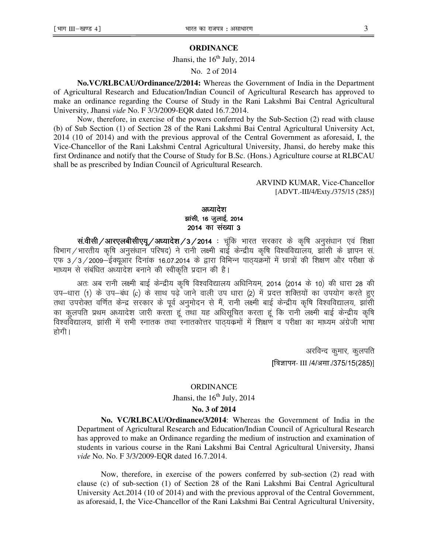## **ORDINANCE**

Jhansi, the  $16<sup>th</sup>$  July, 2014

No. 2 of 2014

**No.VC/RLBCAU/Ordinance/2/2014:** Whereas the Government of India in the Department of Agricultural Research and Education/Indian Council of Agricultural Research has approved to make an ordinance regarding the Course of Study in the Rani Lakshmi Bai Central Agricultural University, Jhansi *vide* No. F 3/3/2009-EQR dated 16.7.2014.

 Now, therefore, in exercise of the powers conferred by the Sub-Section (2) read with clause (b) of Sub Section (1) of Section 28 of the Rani Lakshmi Bai Central Agricultural University Act, 2014 (10 of 2014) and with the previous approval of the Central Government as aforesaid, I, the Vice-Chancellor of the Rani Lakshmi Central Agricultural University, Jhansi, do hereby make this first Ordinance and notify that the Course of Study for B.Sc. (Hons.) Agriculture course at RLBCAU shall be as prescribed by Indian Council of Agricultural Research.

> ARVIND KUMAR, Vice-Chancellor [ADVT.-III/4/Exty./375/15 (285)]

# अध्यादेश झांसी, 16 जुलाई, 2014 2014 का संख्या 3

सं.वीसी/आरएलबीसीएयू/अध्यादेश/3/2014 : चूंकि भारत सरकार के कृषि अनुसंधान एवं शिक्षा विभाग/भारतीय कृषि अनुसंधान परिषद) ने रानी लक्ष्मी बाईं केन्द्रीय कृषि विश्वविद्यालय, झाँसी के ज्ञापन सं. एफ 3/3/2009-ईक्यूऑर दिनाक 16.07.2014 के द्वारा विभिन्न पाठ्यक्रमों में छात्रों की शिक्षण और परीक्षा के माध्यम से संबंधित अध्यादेश बनाने की स्वीकृति प्रदान की है।

अतः अब रानी लक्ष्मी बाई केन्द्रीय कृषि विश्वविद्यालय अधिनियम, 2014 (2014 के 10) की धारा 28 की उप-धारा (1) के उप-बंध (c) के साथ पढ़े जाने वाली उप धारा (2) में प्रदत्त शक्तियों का उपयोग करते हुए तथा उपरोक्त वर्णित केन्द्र सरकार के पूर्व अनुमोदन से मैं, रानी लक्ष्मी बाई केन्द्रीय कृषि विश्वविद्यालय, झांसी का कुलपति प्रथम अध्यादेश जारी करता हूं तथा यह अधिसूचित करता हूं कि रानी लक्ष्मी बाई केन्द्रीय कृषि विश्वविद्यालय, झांसी में सभी स्नातक तथा स्नातकोत्तर पाठयंकमों में शिक्षण व परीक्षा का माध्यम अंग्रेजी भाषा होगी ।

> अरविन्द कुमार, कुलपति [विज्ञापन- III /4/असा./375/15(285)]

### ORDINANCE

Jhansi, the  $16<sup>th</sup>$  July, 2014

# **No. 3 of 2014**

**No. VC/RLBCAU/Ordinance/3/2014**: Whereas the Government of India in the Department of Agricultural Research and Education/Indian Council of Agricultural Research has approved to make an Ordinance regarding the medium of instruction and examination of students in various course in the Rani Lakshmi Bai Central Agricultural University, Jhansi *vide* No. No. F 3/3/2009-EQR dated 16.7.2014.

 Now, therefore, in exercise of the powers conferred by sub-section (2) read with clause (c) of sub-section (1) of Section 28 of the Rani Lakshmi Bai Central Agricultural University Act.2014 (10 of 2014) and with the previous approval of the Central Government, as aforesaid, I, the Vice-Chancellor of the Rani Lakshmi Bai Central Agricultural University,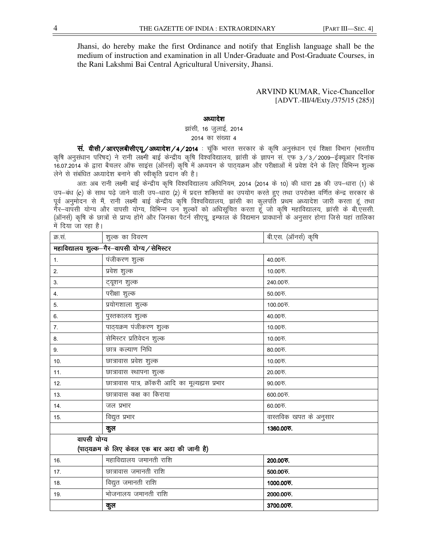Jhansi, do hereby make the first Ordinance and notify that English language shall be the medium of instruction and examination in all Under-Graduate and Post-Graduate Courses, in the Rani Lakshmi Bai Central Agricultural University, Jhansi.

## ARVIND KUMAR, Vice-Chancellor [ADVT.-III/4/Exty./375/15 (285)]

# अध्यादेश

झांसी, 16 जुलाई, 2014 2014 का संख्या 4

 $\overline{H}$ . वीसी/आरएलबीसीएयू/अध्यादेश/4/2014 : चूंकि भारत सरकार के कृषि अनुसंधान एवं शिक्षा विभाग (भारतीय कृषि अनुसंधान परिषद) ने रानी लक्ष्मी बाई केन्द्रीय कृषि विश्वविद्यालय, झांसी के ज्ञापन सं. एफ 3/3/2009–ईक्यूआर दिनांक 16.07.2014 के द्वारा बैचलर ऑफ साइंस (ऑनर्स) कृषि में अध्ययन के पाठयक्रम और परीक्षाओं में प्रवेश देने के लिए विभिन्न शुल्क लेने से संबंधित अध्यादेश बनाने की स्वीकृति प्रदान की है।

अतः अब रानी लक्ष्मी बाई केन्द्रीय कृषि विश्वविद्यालय अधिनियम, 2014 (2014 के 10) की धारा 28 की उप—धारा (1) के उप-बंध (e) के साथ पढ़े जाने वाली उप-धारा (2) में प्रदत्त शक्तियों का उपयोग करते हुए तथा उपरोक्त वर्णित केन्द्र सरकार के पूर्व अनुमोदन से मैं, रानी लक्ष्मी बाई केन्द्रीय कृषि विश्वविद्यालय, झांसी का कुलपति प्रथम अध्यादेश जारी करता हूं तथा गेर-वापसी योग्य और वापसी योग्य, विभिन्न उन शुल्कों को अधिसूचित करता हूँ जो कृषि महाविद्यालय, झांसी के बी.एससी. (ऑनर्स) कृषि के छात्रों से प्राप्य होंगे और जिनका पैटर्न सीएयू, इम्फाल के विद्यमान प्रावधानों के अनुसार होगा जिसे यहां तालिका में दिया जा रहा है।

| क्र.सं.                                       | शुल्क का विवरण                                   | बी.एस. (ऑनर्स) कृषि    |  |
|-----------------------------------------------|--------------------------------------------------|------------------------|--|
| महाविद्यालय शुल्क-गैर-वापसी योग्य / सेमिस्टर  |                                                  |                        |  |
| 1.                                            | पंजीकरण शुल्क                                    | 40.00 फ.               |  |
| 2.                                            | प्रवेश शुल्क                                     | 10.00 रु.              |  |
| 3.                                            | ट्यूशन शुल्क                                     | 240.00 रु.             |  |
| 4.                                            | परीक्षा शुल्क                                    | $50.00$ रु.            |  |
| 5.                                            | प्रयोगशाला शुल्क                                 | 100.00 रु.             |  |
| 6.                                            | पुस्तकालय शुल्क                                  | 40.00 रु.              |  |
| 7 <sub>1</sub>                                | पाठ्यक्रम पंजीकरण शुल्क                          | 10.00 फ.               |  |
| 8.                                            | सेमिस्टर प्रतिवेदन शुल्क                         | 10.00 रु.              |  |
| 9.                                            | छात्र कल्याण निधि                                | 80.00万.                |  |
| 10.                                           | छात्रावास प्रवेश शुल्क                           | 10.00 रु.              |  |
| 11.                                           | छात्रावास स्थापना शुल्क                          | 20.00 रु.              |  |
| 12.                                           | छात्रावास पात्र, क्रॉकरी आदि का मूल्यह्मस प्रभार | $90.00$ रु.            |  |
| 13.                                           | छात्रावास कक्ष का किराया                         | 600.00रु.              |  |
| 14.                                           | जल प्रभार                                        | 60.00 रु.              |  |
| 15.                                           | विद्युत प्रभार                                   | वास्तविक खपत के अनुसार |  |
|                                               | कुल                                              | 1360.00 रु.            |  |
| वापसी योग्य                                   |                                                  |                        |  |
| (पाठ्यक्रम के लिए केवल एक बार अदा की जानी है) |                                                  |                        |  |
| 16.                                           | महाविद्यालय जमानती राशि                          | 200.00 रु.             |  |
| 17.                                           | छात्रावास जमानती राशि                            | 500.00 रु.             |  |
| 18.                                           | विद्युत जमानती राशि                              | 1000.00 रु.            |  |
| 19.                                           | भोजनालय जमानती राशि                              | 2000.00 रु.            |  |
|                                               | कुल                                              | 3700.00 र.             |  |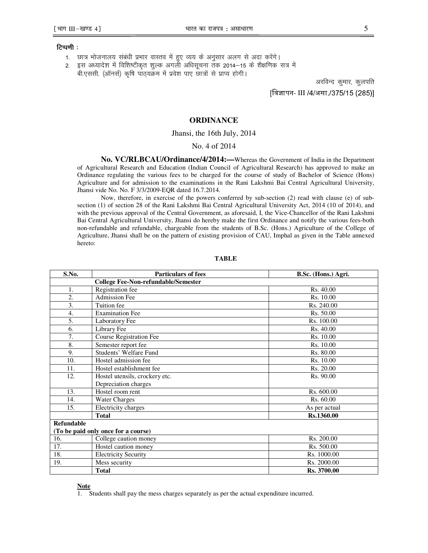#### टिप्पणी $:$

- 1. छात्र भोजनालय संबंधी प्रभार वास्तव में हुए व्यय के अनुसार अलग से अदा करेंगे।
- 2. इस अध्यादेश में विशिष्टीकृत शुल्क अगली अधिसूचना तक 2014–15 के शैक्षणिक सत्र में

बी.एससी. (ऑनर्स) कृषि पाठ्यक्रम में प्रवेश पाए छात्रों से प्राप्य होगी।

अरविन्द कुमार, कुलपति [विज्ञापन- III /4/असा./375/15 (285)]

# **ORDINANCE**

#### Jhansi, the 16th July, 2014

# No. 4 of 2014

**No. VC/RLBCAU/Ordinance/4/2014:—**Whereas the Government of India in the Department of Agricultural Research and Education (Indian Council of Agricultural Research) has approved to make an Ordinance regulating the various fees to be charged for the course of study of Bachelor of Science (Hons) Agriculture and for admission to the examinations in the Rani Lakshmi Bai Central Agricultural University, Jhansi vide No. No. F 3/3/2009-EQR dated 16.7.2014.

 Now, therefore, in exercise of the powers conferred by sub-section (2) read with clause (e) of subsection (1) of section 28 of the Rani Lakshmi Bai Central Agricultural University Act, 2014 (10 of 2014), and with the previous approval of the Central Government, as aforesaid, I, the Vice-Chancellor of the Rani Lakshmi Bai Central Agricultural University, Jhansi do hereby make the first Ordinance and notify the various fees-both non-refundable and refundable, chargeable from the students of B.Sc. (Hons.) Agriculture of the College of Agriculture, Jhansi shall be on the pattern of existing provision of CAU, Imphal as given in the Table annexed hereto:

| S.No.                                      | <b>Particulars of fees</b>     | B.Sc. (Hons.) Agri. |  |
|--------------------------------------------|--------------------------------|---------------------|--|
| <b>College Fee-Non-refundable/Semester</b> |                                |                     |  |
| 1.                                         | Registration fee               | Rs. 40.00           |  |
| 2.                                         | <b>Admission Fee</b>           | Rs. 10.00           |  |
| 3.                                         | Tuition fee                    | Rs. 240.00          |  |
| 4.                                         | <b>Examination Fee</b>         | Rs. 50.00           |  |
| 5.                                         | Laboratory Fee                 | Rs. 100.00          |  |
| 6.                                         | Library Fee                    | Rs. 40.00           |  |
| 7.                                         | <b>Course Registration Fee</b> | Rs. 10.00           |  |
| 8.                                         | Semester report fee            | Rs. 10.00           |  |
| 9.                                         | Students' Welfare Fund         | Rs. 80.00           |  |
| 10.                                        | Hostel admission fee           | Rs. 10.00           |  |
| 11.                                        | Hostel establishment fee       | Rs. 20.00           |  |
| 12.                                        | Hostel utensils, crockery etc. | Rs. 90.00           |  |
|                                            | Depreciation charges           |                     |  |
| 13.                                        | Hostel room rent               | Rs. 600.00          |  |
| 14.                                        | <b>Water Charges</b>           | Rs. 60.00           |  |
| 15.                                        | Electricity charges            | As per actual       |  |
|                                            | <b>Total</b>                   | Rs.1360.00          |  |
| <b>Refundable</b>                          |                                |                     |  |
| (To be paid only once for a course)        |                                |                     |  |
| 16.                                        | College caution money          | Rs. 200.00          |  |
| 17.                                        | Hostel caution money           | Rs. 500.00          |  |
| 18.                                        | <b>Electricity Security</b>    | Rs. 1000.00         |  |
| 19.                                        | Mess security                  | Rs. 2000.00         |  |
|                                            | <b>Total</b>                   | Rs. 3700.00         |  |

#### **TABLE**

**Note**

1. Students shall pay the mess charges separately as per the actual expenditure incurred.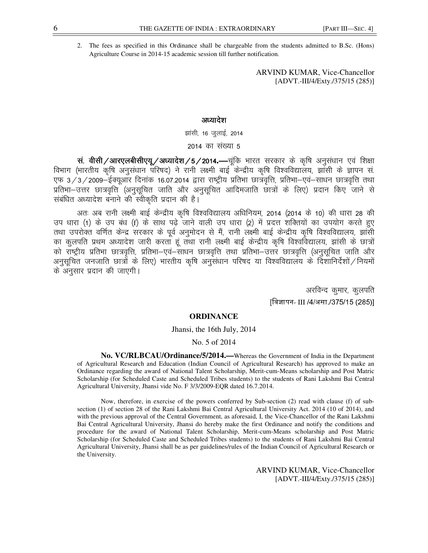2. The fees as specified in this Ordinance shall be chargeable from the students admitted to B.Sc. (Hons) Agriculture Course in 2014-15 academic session till further notification.

> ARVIND KUMAR, Vice-Chancellor [ADVT.-III/4/Exty./375/15 (285)]

# अध्यादेश

झांसी, 16 जुलाई, 2014

# 2014 का संख्या 5

wi. **वीसी /आरएलबीसीएयू /अध्यादेश / 5 / 2014.—** चूंकि भारत सरकार के कृषि अनुसंधान एवं शिक्षा विभाग (भारतीय कृषि अनुसंधान परिषद) ने रानी लक्ष्मी बाई केन्द्रीय कृषि विश्वविद्यालय, झाँसी के ज्ञापन सं एफ 3/3/2009-ईक्यूऑर दिनांक 16.07.2014 द्वारा राष्ट्रीय प्रतिभा छात्रवृत्ति, प्रतिभा-एवं-साधन छात्रवृत्ति तथा प्रतिभा-उत्तर छात्रवृत्ति (अनुसूचित जाति और अनुसूचित आदिमजाति छात्रों के लिए) प्रदान किए जाने से संबंधित अध्यादेश बनाने की स्वीकृति प्रदान की है।

अतः अब रानी लक्ष्मी बाई केन्द्रीय कृषि विश्वविद्यालय अधिनियम, 2014 (2014 के 10) की धारा 28 की उप धारा (1) के उप बंध (f) के साथ पढ़े जाने वाली उप धारा (2) में प्रदत्त शक्तियों का उपयोग करते हुए तथा उपरोक्त वर्णित केन्द्र सरकार के पूर्व अनुमोदन से मैं, रानी लक्ष्मी बाई केन्द्रीय कृषि विश्वविद्यालय, झांसी का कुलपति प्रथम अध्यादेश जारी करता हूं तथा रानी लक्ष्मी बाई केन्द्रीय कृषि विश्वविद्यालय, झांसी के छात्रों को राष्ट्रीय प्रतिभा छात्रवृत्ति, प्रतिभा—एवं—साधन छात्रवृत्ति तथा प्रतिभा—उत्तर छात्रवृत्ति (अनुसूचित जाति और अनुसूचित जनजाति छात्रों के लिए) भारतीय कृषि अनुसंधान परिषद या विश्वविद्यालय के दिशानिर्देशों $\diagup$ नियमों के अनुसार प्रदान की जाएगी।

> अरविन्द कुमार, कुलपति [विज्ञापन- III /4/असा./375/15 (285)]

# **ORDINANCE**

Jhansi, the 16th July, 2014

### No. 5 of 2014

**No. VC/RLBCAU/Ordinance/5/2014.—**Whereas the Government of India in the Department of Agricultural Research and Education (Indian Council of Agricultural Research) has approved to make an Ordinance regarding the award of National Talent Scholarship, Merit-cum-Means scholarship and Post Matric Scholarship (for Scheduled Caste and Scheduled Tribes students) to the students of Rani Lakshmi Bai Central Agricultural University, Jhansi vide No. F 3/3/2009-EQR dated 16.7.2014.

Now, therefore, in exercise of the powers conferred by Sub-section (2) read with clause (f) of subsection (1) of section 28 of the Rani Lakshmi Bai Central Agricultural University Act. 2014 (10 of 2014), and with the previous approval of the Central Government, as aforesaid, I, the Vice-Chancellor of the Rani Lakshmi Bai Central Agricultural University, Jhansi do hereby make the first Ordinance and notify the conditions and procedure for the award of National Talent Scholarship, Merit-cum-Means scholarship and Post Matric Scholarship (for Scheduled Caste and Scheduled Tribes students) to the students of Rani Lakshmi Bai Central Agricultural University, Jhansi shall be as per guidelines/rules of the Indian Council of Agricultural Research or the University.

> ARVIND KUMAR, Vice-Chancellor [ADVT.-III/4/Exty./375/15 (285)]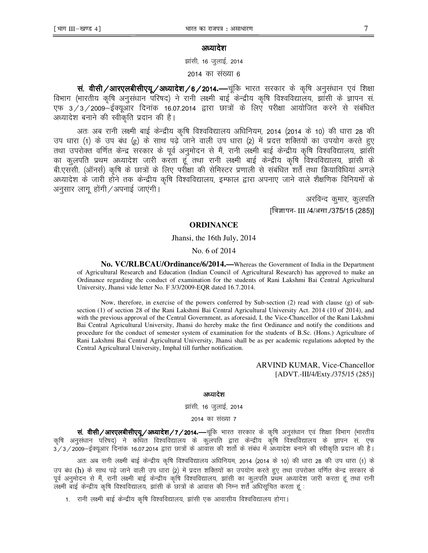# अध्यादेश

झांसी, 16 जुलाई, 2014

2014 का संख्या 6

wi. **वीसी/आरएलबीसीएयू/अध्यादेश/6/2014.—** चूंकि भारत सरकार के कृषि अनुसंधान एवं शिक्षा fohiri (भारतीय कृषि अनुसंधान परिषद) ने रानी लक्ष्मी बाई केन्द्रीय कृषि विश्वविद्यालय, झांसी के ज्ञापन सं एफ 3/3/2009–ईक्यूआर दिनांक 16.07.2014 द्वारा छात्रों के लिए परीक्षा आयोजित करने से संबंधित अध्यादेश बनाने की स्वीकृति प्रदान की है।

अतः अब रानी लक्ष्मी बाई केन्द्रीय कृषि विश्वविद्यालय अधिनियम, 2014 (2014 के 10) की धारा 28 की उप धारा (1) के उप बंध (g) के साथ पढ़े जाने वाली उप धारा (2) में प्रदत्त शक्तियों का उपयोग करते हुए तथा उपरोक्त वर्णित केन्द्र सरकार के पूर्व अनुमोदन से मैं, रानी लक्ष्मी बाई केन्द्रीय कृषि विश्वविद्यालय, झांसी का कुलपति प्रथम अध्यादेश जारी करता हूँ तथा रानी लक्ष्मी बाई केन्द्रीय कृषि विश्वविद्यालय, झांसी के बी.एसँसी. (ऑनर्स) कृषि के छात्रों के लिए परीक्षा की सेमिस्टर प्रणाली से संबंधित शर्तें तथा क्रियाविधियां अगले अध्यादेश के जारी होने तक केन्द्रीय कृषि विश्वविद्यालय, इम्फाल द्वारा अपनाए जाने वाले शैक्षणिक विनियमों के अनुसार लागू होंगी $\sqrt{3}$ यपनाई जाएंगी।

> अरविन्द कुमार, कुलपति [विज्ञापन- III /4/असा./375/15 (285)]

### **ORDINANCE**

#### Jhansi, the 16th July, 2014

No. 6 of 2014

**No. VC/RLBCAU/Ordinance/6/2014.—**Whereas the Government of India in the Department of Agricultural Research and Education (Indian Council of Agricultural Research) has approved to make an Ordinance regarding the conduct of examination for the students of Rani Lakshmi Bai Central Agricultural University, Jhansi vide letter No. F 3/3/2009-EQR dated 16.7.2014.

 Now, therefore, in exercise of the powers conferred by Sub-section (2) read with clause (g) of subsection (1) of section 28 of the Rani Lakshmi Bai Central Agricultural University Act. 2014 (10 of 2014), and with the previous approval of the Central Government, as aforesaid, I, the Vice-Chancellor of the Rani Lakshmi Bai Central Agricultural University, Jhansi do hereby make the first Ordinance and notify the conditions and procedure for the conduct of semester system of examination for the students of B.Sc. (Hons.) Agriculture of Rani Lakshmi Bai Central Agricultural University, Jhansi shall be as per academic regulations adopted by the Central Agricultural University, Imphal till further notification.

> ARVIND KUMAR, Vice-Chancellor [ADVT.-III/4/Exty./375/15 (285)]

#### अध्यादेश

झांसी, 16 जुलाई, 2014

#### 2014 का संख्या 7

wi dien/आरएलबीसीएयू/अध्यादेश/7/2014.—चूंकि भारत सरकार के कृषि अनुसंधान एवं शिक्षा विभाग (भारतीय कृषि अनुसंधान परिषद) ने कथित विश्वविद्यालय के कुलपति द्वारा केन्द्रीय कृषि विश्वविद्यालय के ज्ञापन सं. एफ  $3/3/2$ 009—ईक्यूआर दिनांक 16.07.2014 द्वारा छात्रों के आवास की शर्तो के संबंध में अध्यादेश बनाने की स्वीकृति प्रदान की है।

अतः अब रानी लक्ष्मी बाई केन्द्रीय कृषि विश्वविद्यालय अधिनियम, 2014 (2014 के 10) की धारा 28 की उप धारा (1) के उप बंध (h) के साथ पढ़े जाने वाली उप धारा (2) में प्रदत्त शक्तियों का उपयोग करते हुए तथा उपरोक्त वर्णित केन्द्र सरकार के पूर्व अनुमोदन से मैं, रानी लक्ष्मी बाई केन्द्रीय कृषि विश्वविद्यालय, झांसी का कुलपति प्रथम अध्यादेश जारी करता हूं तथा रानी लक्ष्मी बाई केन्द्रीय कृषि विश्वविद्यालय, झांसी के छात्रों के आवास की निम्न शर्तें अधिसूचित करता हूं :

1. रानी लक्ष्मी बाई केन्द्रीय कृषि विश्वविद्यालय, झांसी एक आवासीय विश्वविद्यालय होगा।